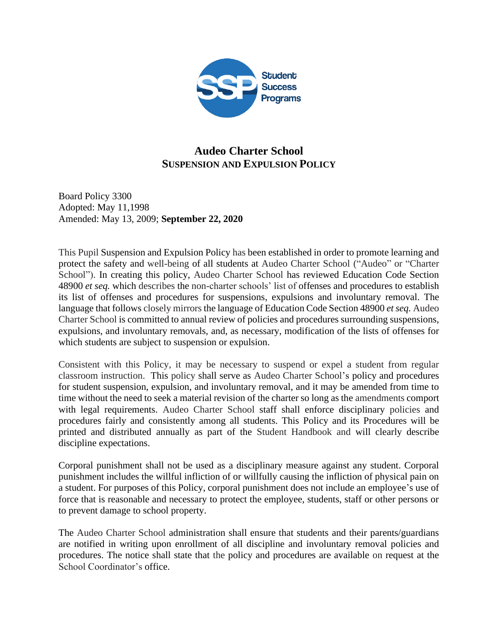

# **Audeo Charter School SUSPENSION AND EXPULSION POLICY**

Board Policy 3300 Adopted: May 11,1998 Amended: May 13, 2009; **September 22, 2020**

This Pupil Suspension and Expulsion Policy has been established in order to promote learning and protect the safety and well-being of all students at Audeo Charter School ("Audeo" or "Charter School"). In creating this policy, Audeo Charter School has reviewed Education Code Section 48900 *et seq.* which describes the non-charter schools' list of offenses and procedures to establish its list of offenses and procedures for suspensions, expulsions and involuntary removal. The language that follows closely mirrors the language of Education Code Section 48900 *et seq.* Audeo Charter School is committed to annual review of policies and procedures surrounding suspensions, expulsions, and involuntary removals, and, as necessary, modification of the lists of offenses for which students are subject to suspension or expulsion.

Consistent with this Policy, it may be necessary to suspend or expel a student from regular classroom instruction. This policy shall serve as Audeo Charter School's policy and procedures for student suspension, expulsion, and involuntary removal, and it may be amended from time to time without the need to seek a material revision of the charter so long as the amendments comport with legal requirements. Audeo Charter School staff shall enforce disciplinary policies and procedures fairly and consistently among all students. This Policy and its Procedures will be printed and distributed annually as part of the Student Handbook and will clearly describe discipline expectations.

Corporal punishment shall not be used as a disciplinary measure against any student. Corporal punishment includes the willful infliction of or willfully causing the infliction of physical pain on a student. For purposes of this Policy, corporal punishment does not include an employee's use of force that is reasonable and necessary to protect the employee, students, staff or other persons or to prevent damage to school property.

The Audeo Charter School administration shall ensure that students and their parents/guardians are notified in writing upon enrollment of all discipline and involuntary removal policies and procedures. The notice shall state that the policy and procedures are available on request at the School Coordinator's office.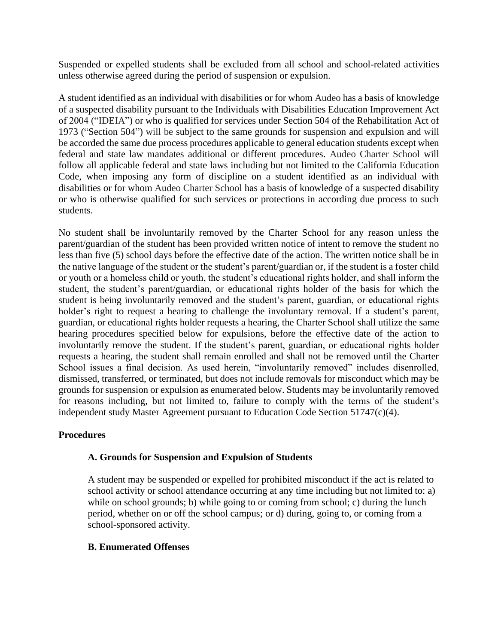Suspended or expelled students shall be excluded from all school and school-related activities unless otherwise agreed during the period of suspension or expulsion.

A student identified as an individual with disabilities or for whom Audeo has a basis of knowledge of a suspected disability pursuant to the Individuals with Disabilities Education Improvement Act of 2004 ("IDEIA") or who is qualified for services under Section 504 of the Rehabilitation Act of 1973 ("Section 504") will be subject to the same grounds for suspension and expulsion and will be accorded the same due process procedures applicable to general education students except when federal and state law mandates additional or different procedures. Audeo Charter School will follow all applicable federal and state laws including but not limited to the California Education Code, when imposing any form of discipline on a student identified as an individual with disabilities or for whom Audeo Charter School has a basis of knowledge of a suspected disability or who is otherwise qualified for such services or protections in according due process to such students.

No student shall be involuntarily removed by the Charter School for any reason unless the parent/guardian of the student has been provided written notice of intent to remove the student no less than five (5) school days before the effective date of the action. The written notice shall be in the native language of the student or the student's parent/guardian or, if the student is a foster child or youth or a homeless child or youth, the student's educational rights holder, and shall inform the student, the student's parent/guardian, or educational rights holder of the basis for which the student is being involuntarily removed and the student's parent, guardian, or educational rights holder's right to request a hearing to challenge the involuntary removal. If a student's parent, guardian, or educational rights holder requests a hearing, the Charter School shall utilize the same hearing procedures specified below for expulsions, before the effective date of the action to involuntarily remove the student. If the student's parent, guardian, or educational rights holder requests a hearing, the student shall remain enrolled and shall not be removed until the Charter School issues a final decision. As used herein, "involuntarily removed" includes disenrolled, dismissed, transferred, or terminated, but does not include removals for misconduct which may be grounds for suspension or expulsion as enumerated below. Students may be involuntarily removed for reasons including, but not limited to, failure to comply with the terms of the student's independent study Master Agreement pursuant to Education Code Section 51747(c)(4).

### **Procedures**

### **A. Grounds for Suspension and Expulsion of Students**

A student may be suspended or expelled for prohibited misconduct if the act is related to school activity or school attendance occurring at any time including but not limited to: a) while on school grounds; b) while going to or coming from school; c) during the lunch period, whether on or off the school campus; or d) during, going to, or coming from a school-sponsored activity.

### **B. Enumerated Offenses**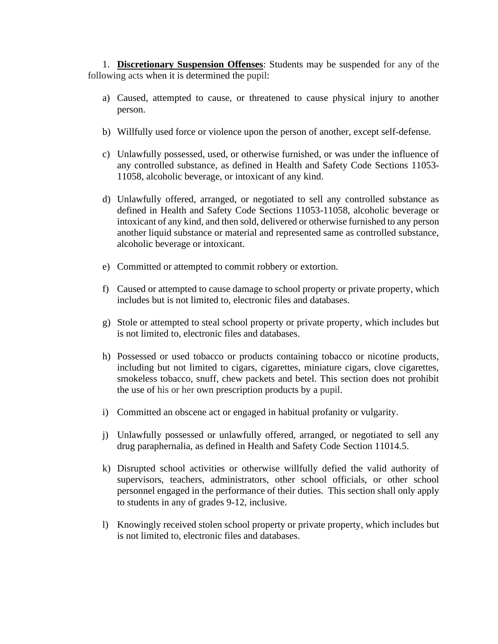1. **Discretionary Suspension Offenses**: Students may be suspended for any of the following acts when it is determined the pupil:

- a) Caused, attempted to cause, or threatened to cause physical injury to another person.
- b) Willfully used force or violence upon the person of another, except self-defense.
- c) Unlawfully possessed, used, or otherwise furnished, or was under the influence of any controlled substance, as defined in Health and Safety Code Sections 11053- 11058, alcoholic beverage, or intoxicant of any kind.
- d) Unlawfully offered, arranged, or negotiated to sell any controlled substance as defined in Health and Safety Code Sections 11053-11058, alcoholic beverage or intoxicant of any kind, and then sold, delivered or otherwise furnished to any person another liquid substance or material and represented same as controlled substance, alcoholic beverage or intoxicant.
- e) Committed or attempted to commit robbery or extortion.
- f) Caused or attempted to cause damage to school property or private property, which includes but is not limited to, electronic files and databases.
- g) Stole or attempted to steal school property or private property, which includes but is not limited to, electronic files and databases.
- h) Possessed or used tobacco or products containing tobacco or nicotine products, including but not limited to cigars, cigarettes, miniature cigars, clove cigarettes, smokeless tobacco, snuff, chew packets and betel. This section does not prohibit the use of his or her own prescription products by a pupil.
- i) Committed an obscene act or engaged in habitual profanity or vulgarity.
- j) Unlawfully possessed or unlawfully offered, arranged, or negotiated to sell any drug paraphernalia, as defined in Health and Safety Code Section 11014.5.
- k) Disrupted school activities or otherwise willfully defied the valid authority of supervisors, teachers, administrators, other school officials, or other school personnel engaged in the performance of their duties. This section shall only apply to students in any of grades 9-12, inclusive.
- l) Knowingly received stolen school property or private property, which includes but is not limited to, electronic files and databases.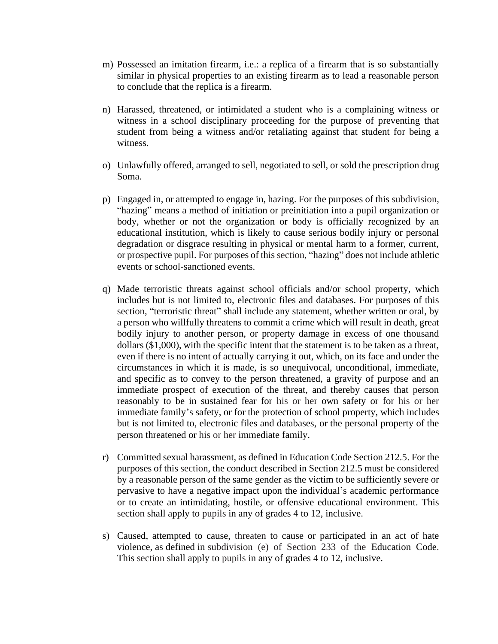- m) Possessed an imitation firearm, i.e.: a replica of a firearm that is so substantially similar in physical properties to an existing firearm as to lead a reasonable person to conclude that the replica is a firearm.
- n) Harassed, threatened, or intimidated a student who is a complaining witness or witness in a school disciplinary proceeding for the purpose of preventing that student from being a witness and/or retaliating against that student for being a witness.
- o) Unlawfully offered, arranged to sell, negotiated to sell, or sold the prescription drug Soma.
- p) Engaged in, or attempted to engage in, hazing. For the purposes of this subdivision, "hazing" means a method of initiation or preinitiation into a pupil organization or body, whether or not the organization or body is officially recognized by an educational institution, which is likely to cause serious bodily injury or personal degradation or disgrace resulting in physical or mental harm to a former, current, or prospective pupil. For purposes of this section, "hazing" does not include athletic events or school-sanctioned events.
- q) Made terroristic threats against school officials and/or school property, which includes but is not limited to, electronic files and databases. For purposes of this section, "terroristic threat" shall include any statement, whether written or oral, by a person who willfully threatens to commit a crime which will result in death, great bodily injury to another person, or property damage in excess of one thousand dollars (\$1,000), with the specific intent that the statement is to be taken as a threat, even if there is no intent of actually carrying it out, which, on its face and under the circumstances in which it is made, is so unequivocal, unconditional, immediate, and specific as to convey to the person threatened, a gravity of purpose and an immediate prospect of execution of the threat, and thereby causes that person reasonably to be in sustained fear for his or her own safety or for his or her immediate family's safety, or for the protection of school property, which includes but is not limited to, electronic files and databases, or the personal property of the person threatened or his or her immediate family.
- r) Committed sexual harassment, as defined in Education Code Section 212.5. For the purposes of this section, the conduct described in Section 212.5 must be considered by a reasonable person of the same gender as the victim to be sufficiently severe or pervasive to have a negative impact upon the individual's academic performance or to create an intimidating, hostile, or offensive educational environment. This section shall apply to pupils in any of grades 4 to 12, inclusive.
- s) Caused, attempted to cause, threaten to cause or participated in an act of hate violence, as defined in subdivision (e) of Section 233 of the Education Code. This section shall apply to pupils in any of grades 4 to 12, inclusive.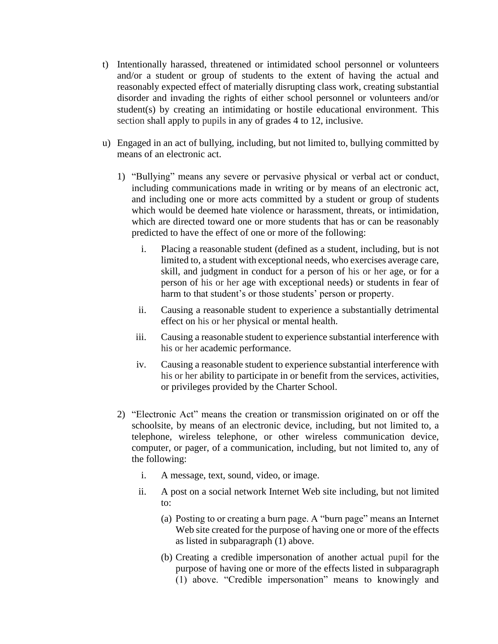- t) Intentionally harassed, threatened or intimidated school personnel or volunteers and/or a student or group of students to the extent of having the actual and reasonably expected effect of materially disrupting class work, creating substantial disorder and invading the rights of either school personnel or volunteers and/or student(s) by creating an intimidating or hostile educational environment. This section shall apply to pupils in any of grades 4 to 12, inclusive.
- u) Engaged in an act of bullying, including, but not limited to, bullying committed by means of an electronic act.
	- 1) "Bullying" means any severe or pervasive physical or verbal act or conduct, including communications made in writing or by means of an electronic act, and including one or more acts committed by a student or group of students which would be deemed hate violence or harassment, threats, or intimidation, which are directed toward one or more students that has or can be reasonably predicted to have the effect of one or more of the following:
		- i. Placing a reasonable student (defined as a student, including, but is not limited to, a student with exceptional needs, who exercises average care, skill, and judgment in conduct for a person of his or her age, or for a person of his or her age with exceptional needs) or students in fear of harm to that student's or those students' person or property.
		- ii. Causing a reasonable student to experience a substantially detrimental effect on his or her physical or mental health.
		- iii. Causing a reasonable student to experience substantial interference with his or her academic performance.
		- iv. Causing a reasonable student to experience substantial interference with his or her ability to participate in or benefit from the services, activities, or privileges provided by the Charter School.
	- 2) "Electronic Act" means the creation or transmission originated on or off the schoolsite, by means of an electronic device, including, but not limited to, a telephone, wireless telephone, or other wireless communication device, computer, or pager, of a communication, including, but not limited to, any of the following:
		- i. A message, text, sound, video, or image.
		- ii. A post on a social network Internet Web site including, but not limited to:
			- (a) Posting to or creating a burn page. A "burn page" means an Internet Web site created for the purpose of having one or more of the effects as listed in subparagraph (1) above.
			- (b) Creating a credible impersonation of another actual pupil for the purpose of having one or more of the effects listed in subparagraph (1) above. "Credible impersonation" means to knowingly and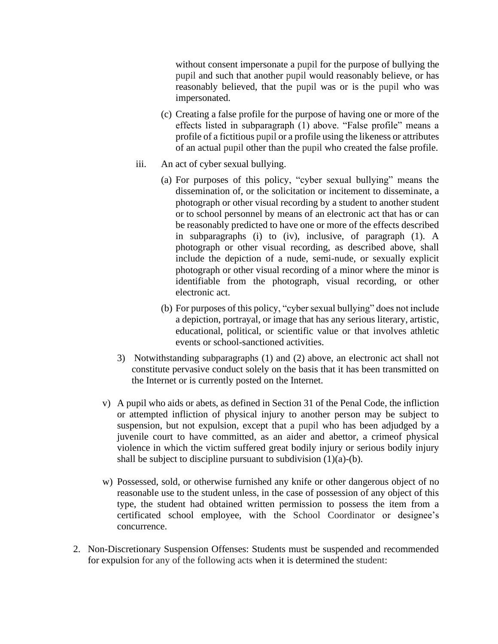without consent impersonate a pupil for the purpose of bullying the pupil and such that another pupil would reasonably believe, or has reasonably believed, that the pupil was or is the pupil who was impersonated.

- (c) Creating a false profile for the purpose of having one or more of the effects listed in subparagraph (1) above. "False profile" means a profile of a fictitious pupil or a profile using the likeness or attributes of an actual pupil other than the pupil who created the false profile.
- iii. An act of cyber sexual bullying.
	- (a) For purposes of this policy, "cyber sexual bullying" means the dissemination of, or the solicitation or incitement to disseminate, a photograph or other visual recording by a student to another student or to school personnel by means of an electronic act that has or can be reasonably predicted to have one or more of the effects described in subparagraphs (i) to (iv), inclusive, of paragraph (1). A photograph or other visual recording, as described above, shall include the depiction of a nude, semi-nude, or sexually explicit photograph or other visual recording of a minor where the minor is identifiable from the photograph, visual recording, or other electronic act.
	- (b) For purposes of this policy, "cyber sexual bullying" does not include a depiction, portrayal, or image that has any serious literary, artistic, educational, political, or scientific value or that involves athletic events or school-sanctioned activities.
- 3) Notwithstanding subparagraphs (1) and (2) above, an electronic act shall not constitute pervasive conduct solely on the basis that it has been transmitted on the Internet or is currently posted on the Internet.
- v) A pupil who aids or abets, as defined in Section 31 of the Penal Code, the infliction or attempted infliction of physical injury to another person may be subject to suspension, but not expulsion, except that a pupil who has been adjudged by a juvenile court to have committed, as an aider and abettor, a crimeof physical violence in which the victim suffered great bodily injury or serious bodily injury shall be subject to discipline pursuant to subdivision  $(1)(a)-(b)$ .
- w) Possessed, sold, or otherwise furnished any knife or other dangerous object of no reasonable use to the student unless, in the case of possession of any object of this type, the student had obtained written permission to possess the item from a certificated school employee, with the School Coordinator or designee's concurrence.
- 2. Non-Discretionary Suspension Offenses: Students must be suspended and recommended for expulsion for any of the following acts when it is determined the student: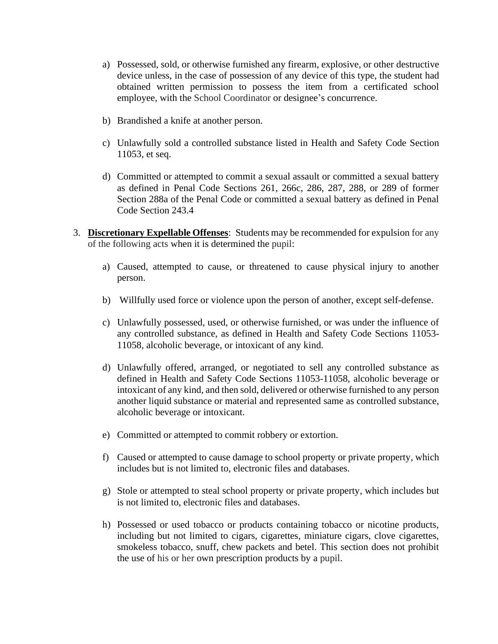- a) Possessed, sold, or otherwise furnished any firearm, explosive, or other destructive device unless, in the case of possession of any device of this type, the student had obtained written permission to possess the item from a certificated school employee, with the School Coordinator or designee's concurrence.
- b) Brandished a knife at another person.
- c) Unlawfully sold a controlled substance listed in Health and Safety Code Section 11053, et seq.
- d) Committed or attempted to commit a sexual assault or committed a sexual battery as defined in Penal Code Sections 261, 266c, 286, 287, 288, or 289 of former Section 288a of the Penal Code or committed a sexual battery as defined in Penal Code Section 243.4
- 3. **Discretionary Expellable Offenses**: Students may be recommended for expulsion for any of the following acts when it is determined the pupil:
	- a) Caused, attempted to cause, or threatened to cause physical injury to another person.
	- b) Willfully used force or violence upon the person of another, except self-defense.
	- c) Unlawfully possessed, used, or otherwise furnished, or was under the influence of any controlled substance, as defined in Health and Safety Code Sections 11053- 11058, alcoholic beverage, or intoxicant of any kind.
	- d) Unlawfully offered, arranged, or negotiated to sell any controlled substance as defined in Health and Safety Code Sections 11053-11058, alcoholic beverage or intoxicant of any kind, and then sold, delivered or otherwise furnished to any person another liquid substance or material and represented same as controlled substance, alcoholic beverage or intoxicant.
	- e) Committed or attempted to commit robbery or extortion.
	- f) Caused or attempted to cause damage to school property or private property, which includes but is not limited to, electronic files and databases.
	- g) Stole or attempted to steal school property or private property, which includes but is not limited to, electronic files and databases.
	- h) Possessed or used tobacco or products containing tobacco or nicotine products, including but not limited to cigars, cigarettes, miniature cigars, clove cigarettes, smokeless tobacco, snuff, chew packets and betel. This section does not prohibit the use of his or her own prescription products by a pupil.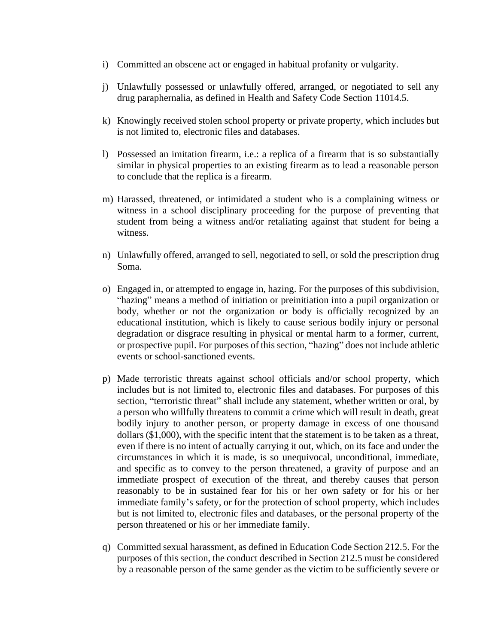- i) Committed an obscene act or engaged in habitual profanity or vulgarity.
- j) Unlawfully possessed or unlawfully offered, arranged, or negotiated to sell any drug paraphernalia, as defined in Health and Safety Code Section 11014.5.
- k) Knowingly received stolen school property or private property, which includes but is not limited to, electronic files and databases.
- l) Possessed an imitation firearm, i.e.: a replica of a firearm that is so substantially similar in physical properties to an existing firearm as to lead a reasonable person to conclude that the replica is a firearm.
- m) Harassed, threatened, or intimidated a student who is a complaining witness or witness in a school disciplinary proceeding for the purpose of preventing that student from being a witness and/or retaliating against that student for being a witness.
- n) Unlawfully offered, arranged to sell, negotiated to sell, or sold the prescription drug Soma.
- o) Engaged in, or attempted to engage in, hazing. For the purposes of this subdivision, "hazing" means a method of initiation or preinitiation into a pupil organization or body, whether or not the organization or body is officially recognized by an educational institution, which is likely to cause serious bodily injury or personal degradation or disgrace resulting in physical or mental harm to a former, current, or prospective pupil. For purposes of this section, "hazing" does not include athletic events or school-sanctioned events.
- p) Made terroristic threats against school officials and/or school property, which includes but is not limited to, electronic files and databases. For purposes of this section, "terroristic threat" shall include any statement, whether written or oral, by a person who willfully threatens to commit a crime which will result in death, great bodily injury to another person, or property damage in excess of one thousand dollars (\$1,000), with the specific intent that the statement is to be taken as a threat, even if there is no intent of actually carrying it out, which, on its face and under the circumstances in which it is made, is so unequivocal, unconditional, immediate, and specific as to convey to the person threatened, a gravity of purpose and an immediate prospect of execution of the threat, and thereby causes that person reasonably to be in sustained fear for his or her own safety or for his or her immediate family's safety, or for the protection of school property, which includes but is not limited to, electronic files and databases, or the personal property of the person threatened or his or her immediate family.
- q) Committed sexual harassment, as defined in Education Code Section 212.5. For the purposes of this section, the conduct described in Section 212.5 must be considered by a reasonable person of the same gender as the victim to be sufficiently severe or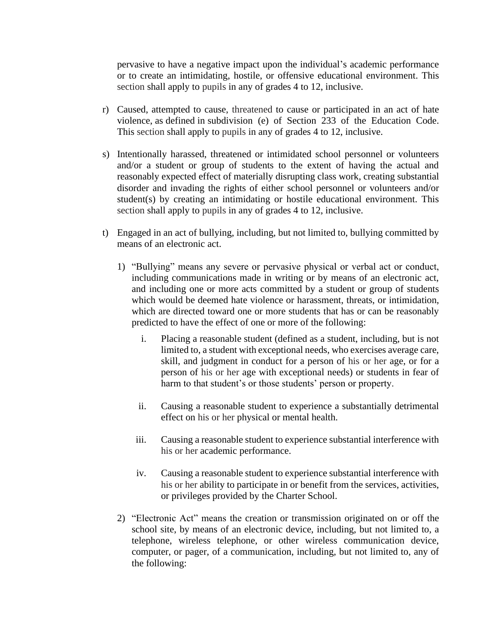pervasive to have a negative impact upon the individual's academic performance or to create an intimidating, hostile, or offensive educational environment. This section shall apply to pupils in any of grades 4 to 12, inclusive.

- r) Caused, attempted to cause, threatened to cause or participated in an act of hate violence, as defined in subdivision (e) of Section 233 of the Education Code. This section shall apply to pupils in any of grades 4 to 12, inclusive.
- s) Intentionally harassed, threatened or intimidated school personnel or volunteers and/or a student or group of students to the extent of having the actual and reasonably expected effect of materially disrupting class work, creating substantial disorder and invading the rights of either school personnel or volunteers and/or student(s) by creating an intimidating or hostile educational environment. This section shall apply to pupils in any of grades 4 to 12, inclusive.
- t) Engaged in an act of bullying, including, but not limited to, bullying committed by means of an electronic act.
	- 1) "Bullying" means any severe or pervasive physical or verbal act or conduct, including communications made in writing or by means of an electronic act, and including one or more acts committed by a student or group of students which would be deemed hate violence or harassment, threats, or intimidation, which are directed toward one or more students that has or can be reasonably predicted to have the effect of one or more of the following:
		- i. Placing a reasonable student (defined as a student, including, but is not limited to, a student with exceptional needs, who exercises average care, skill, and judgment in conduct for a person of his or her age, or for a person of his or her age with exceptional needs) or students in fear of harm to that student's or those students' person or property.
		- ii. Causing a reasonable student to experience a substantially detrimental effect on his or her physical or mental health.
		- iii. Causing a reasonable student to experience substantial interference with his or her academic performance.
		- iv. Causing a reasonable student to experience substantial interference with his or her ability to participate in or benefit from the services, activities, or privileges provided by the Charter School.
	- 2) "Electronic Act" means the creation or transmission originated on or off the school site, by means of an electronic device, including, but not limited to, a telephone, wireless telephone, or other wireless communication device, computer, or pager, of a communication, including, but not limited to, any of the following: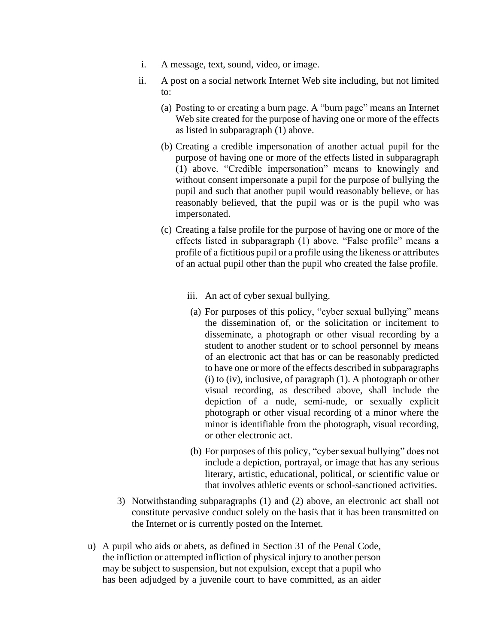- i. A message, text, sound, video, or image.
- ii. A post on a social network Internet Web site including, but not limited to:
	- (a) Posting to or creating a burn page. A "burn page" means an Internet Web site created for the purpose of having one or more of the effects as listed in subparagraph (1) above.
	- (b) Creating a credible impersonation of another actual pupil for the purpose of having one or more of the effects listed in subparagraph (1) above. "Credible impersonation" means to knowingly and without consent impersonate a pupil for the purpose of bullying the pupil and such that another pupil would reasonably believe, or has reasonably believed, that the pupil was or is the pupil who was impersonated.
	- (c) Creating a false profile for the purpose of having one or more of the effects listed in subparagraph (1) above. "False profile" means a profile of a fictitious pupil or a profile using the likeness or attributes of an actual pupil other than the pupil who created the false profile.
		- iii. An act of cyber sexual bullying.
		- (a) For purposes of this policy, "cyber sexual bullying" means the dissemination of, or the solicitation or incitement to disseminate, a photograph or other visual recording by a student to another student or to school personnel by means of an electronic act that has or can be reasonably predicted to have one or more of the effects described in subparagraphs (i) to (iv), inclusive, of paragraph (1). A photograph or other visual recording, as described above, shall include the depiction of a nude, semi-nude, or sexually explicit photograph or other visual recording of a minor where the minor is identifiable from the photograph, visual recording, or other electronic act.
		- (b) For purposes of this policy, "cyber sexual bullying" does not include a depiction, portrayal, or image that has any serious literary, artistic, educational, political, or scientific value or that involves athletic events or school-sanctioned activities.
- 3) Notwithstanding subparagraphs (1) and (2) above, an electronic act shall not constitute pervasive conduct solely on the basis that it has been transmitted on the Internet or is currently posted on the Internet.
- u) A pupil who aids or abets, as defined in Section 31 of the Penal Code, the infliction or attempted infliction of physical injury to another person may be subject to suspension, but not expulsion, except that a pupil who has been adjudged by a juvenile court to have committed, as an aider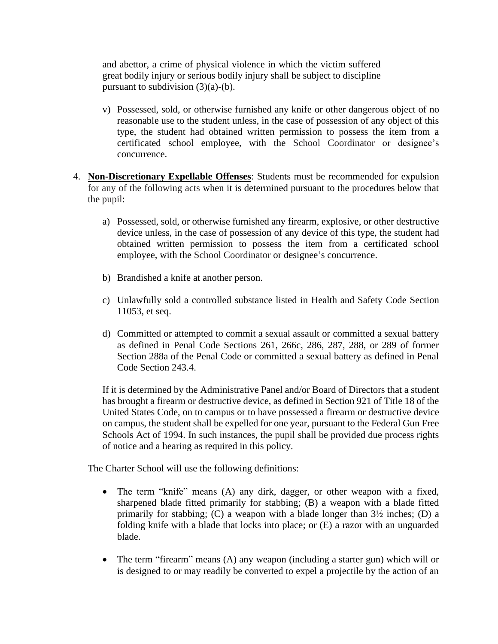and abettor, a crime of physical violence in which the victim suffered great bodily injury or serious bodily injury shall be subject to discipline pursuant to subdivision  $(3)(a)-(b)$ .

- v) Possessed, sold, or otherwise furnished any knife or other dangerous object of no reasonable use to the student unless, in the case of possession of any object of this type, the student had obtained written permission to possess the item from a certificated school employee, with the School Coordinator or designee's concurrence.
- 4. **Non-Discretionary Expellable Offenses**: Students must be recommended for expulsion for any of the following acts when it is determined pursuant to the procedures below that the pupil:
	- a) Possessed, sold, or otherwise furnished any firearm, explosive, or other destructive device unless, in the case of possession of any device of this type, the student had obtained written permission to possess the item from a certificated school employee, with the School Coordinator or designee's concurrence.
	- b) Brandished a knife at another person.
	- c) Unlawfully sold a controlled substance listed in Health and Safety Code Section 11053, et seq.
	- d) Committed or attempted to commit a sexual assault or committed a sexual battery as defined in Penal Code Sections 261, 266c, 286, 287, 288, or 289 of former Section 288a of the Penal Code or committed a sexual battery as defined in Penal Code Section 243.4.

If it is determined by the Administrative Panel and/or Board of Directors that a student has brought a firearm or destructive device, as defined in Section 921 of Title 18 of the United States Code, on to campus or to have possessed a firearm or destructive device on campus, the student shall be expelled for one year, pursuant to the Federal Gun Free Schools Act of 1994. In such instances, the pupil shall be provided due process rights of notice and a hearing as required in this policy.

The Charter School will use the following definitions:

- The term "knife" means (A) any dirk, dagger, or other weapon with a fixed, sharpened blade fitted primarily for stabbing; (B) a weapon with a blade fitted primarily for stabbing; (C) a weapon with a blade longer than 3½ inches; (D) a folding knife with a blade that locks into place; or (E) a razor with an unguarded blade.
- The term "firearm" means (A) any weapon (including a starter gun) which will or is designed to or may readily be converted to expel a projectile by the action of an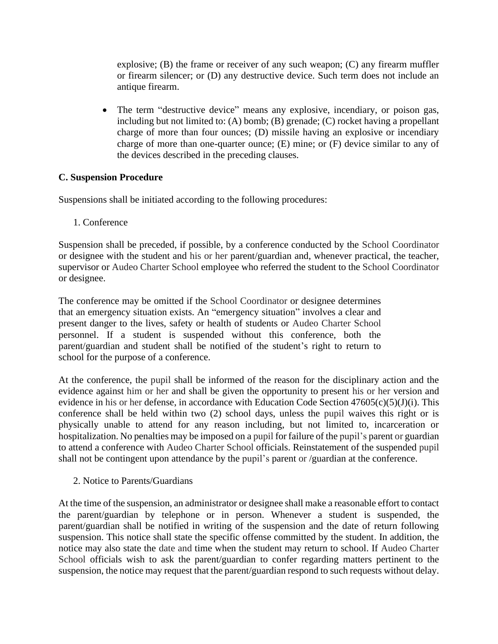explosive; (B) the frame or receiver of any such weapon; (C) any firearm muffler or firearm silencer; or (D) any destructive device. Such term does not include an antique firearm.

• The term "destructive device" means any explosive, incendiary, or poison gas, including but not limited to: (A) bomb; (B) grenade; (C) rocket having a propellant charge of more than four ounces; (D) missile having an explosive or incendiary charge of more than one-quarter ounce; (E) mine; or (F) device similar to any of the devices described in the preceding clauses.

### **C. Suspension Procedure**

Suspensions shall be initiated according to the following procedures:

1. Conference

Suspension shall be preceded, if possible, by a conference conducted by the School Coordinator or designee with the student and his or her parent/guardian and, whenever practical, the teacher, supervisor or Audeo Charter School employee who referred the student to the School Coordinator or designee.

The conference may be omitted if the School Coordinator or designee determines that an emergency situation exists. An "emergency situation" involves a clear and present danger to the lives, safety or health of students or Audeo Charter School personnel. If a student is suspended without this conference, both the parent/guardian and student shall be notified of the student's right to return to school for the purpose of a conference.

At the conference, the pupil shall be informed of the reason for the disciplinary action and the evidence against him or her and shall be given the opportunity to present his or her version and evidence in his or her defense, in accordance with Education Code Section  $47605(c)(5)(J)(i)$ . This conference shall be held within two (2) school days, unless the pupil waives this right or is physically unable to attend for any reason including, but not limited to, incarceration or hospitalization. No penalties may be imposed on a pupil for failure of the pupil's parent or guardian to attend a conference with Audeo Charter School officials. Reinstatement of the suspended pupil shall not be contingent upon attendance by the pupil's parent or /guardian at the conference.

2. Notice to Parents/Guardians

At the time of the suspension, an administrator or designee shall make a reasonable effort to contact the parent/guardian by telephone or in person. Whenever a student is suspended, the parent/guardian shall be notified in writing of the suspension and the date of return following suspension. This notice shall state the specific offense committed by the student. In addition, the notice may also state the date and time when the student may return to school. If Audeo Charter School officials wish to ask the parent/guardian to confer regarding matters pertinent to the suspension, the notice may request that the parent/guardian respond to such requests without delay.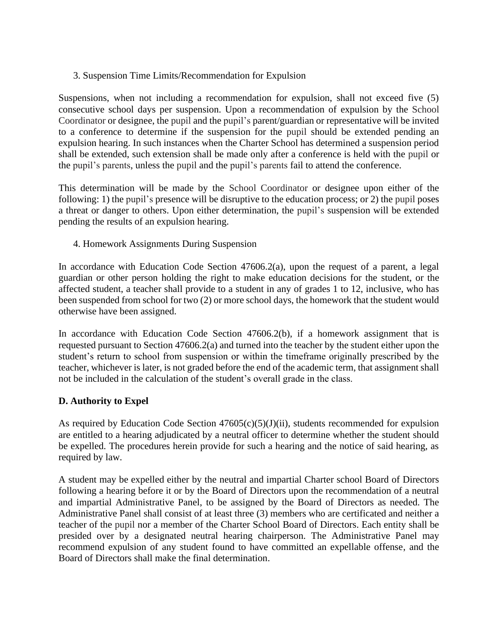3. Suspension Time Limits/Recommendation for Expulsion

Suspensions, when not including a recommendation for expulsion, shall not exceed five (5) consecutive school days per suspension. Upon a recommendation of expulsion by the School Coordinator or designee, the pupil and the pupil's parent/guardian or representative will be invited to a conference to determine if the suspension for the pupil should be extended pending an expulsion hearing. In such instances when the Charter School has determined a suspension period shall be extended, such extension shall be made only after a conference is held with the pupil or the pupil's parents, unless the pupil and the pupil's parents fail to attend the conference.

This determination will be made by the School Coordinator or designee upon either of the following: 1) the pupil's presence will be disruptive to the education process; or 2) the pupil poses a threat or danger to others. Upon either determination, the pupil's suspension will be extended pending the results of an expulsion hearing.

4. Homework Assignments During Suspension

In accordance with Education Code Section 47606.2(a), upon the request of a parent, a legal guardian or other person holding the right to make education decisions for the student, or the affected student, a teacher shall provide to a student in any of grades 1 to 12, inclusive, who has been suspended from school for two (2) or more school days, the homework that the student would otherwise have been assigned.

In accordance with Education Code Section 47606.2(b), if a homework assignment that is requested pursuant to Section 47606.2(a) and turned into the teacher by the student either upon the student's return to school from suspension or within the timeframe originally prescribed by the teacher, whichever is later, is not graded before the end of the academic term, that assignment shall not be included in the calculation of the student's overall grade in the class.

## **D. Authority to Expel**

As required by Education Code Section  $47605(c)(5)(J)(ii)$ , students recommended for expulsion are entitled to a hearing adjudicated by a neutral officer to determine whether the student should be expelled. The procedures herein provide for such a hearing and the notice of said hearing, as required by law.

A student may be expelled either by the neutral and impartial Charter school Board of Directors following a hearing before it or by the Board of Directors upon the recommendation of a neutral and impartial Administrative Panel, to be assigned by the Board of Directors as needed. The Administrative Panel shall consist of at least three (3) members who are certificated and neither a teacher of the pupil nor a member of the Charter School Board of Directors. Each entity shall be presided over by a designated neutral hearing chairperson. The Administrative Panel may recommend expulsion of any student found to have committed an expellable offense, and the Board of Directors shall make the final determination.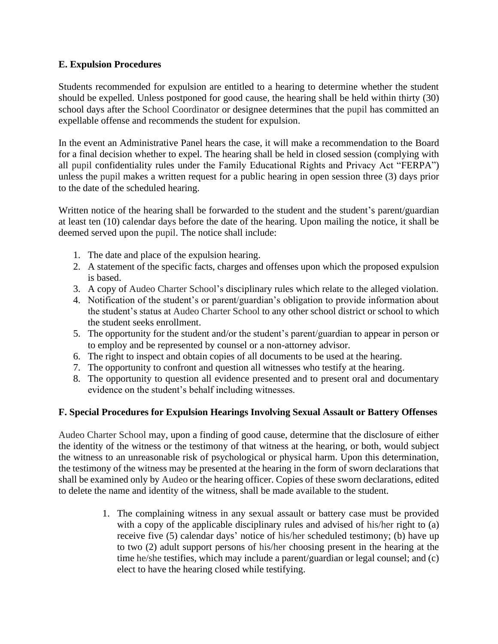## **E. Expulsion Procedures**

Students recommended for expulsion are entitled to a hearing to determine whether the student should be expelled. Unless postponed for good cause, the hearing shall be held within thirty (30) school days after the School Coordinator or designee determines that the pupil has committed an expellable offense and recommends the student for expulsion.

In the event an Administrative Panel hears the case, it will make a recommendation to the Board for a final decision whether to expel. The hearing shall be held in closed session (complying with all pupil confidentiality rules under the Family Educational Rights and Privacy Act "FERPA") unless the pupil makes a written request for a public hearing in open session three (3) days prior to the date of the scheduled hearing.

Written notice of the hearing shall be forwarded to the student and the student's parent/guardian at least ten (10) calendar days before the date of the hearing. Upon mailing the notice, it shall be deemed served upon the pupil. The notice shall include:

- 1. The date and place of the expulsion hearing.
- 2. A statement of the specific facts, charges and offenses upon which the proposed expulsion is based.
- 3. A copy of Audeo Charter School's disciplinary rules which relate to the alleged violation.
- 4. Notification of the student's or parent/guardian's obligation to provide information about the student's status at Audeo Charter School to any other school district or school to which the student seeks enrollment.
- 5. The opportunity for the student and/or the student's parent/guardian to appear in person or to employ and be represented by counsel or a non-attorney advisor.
- 6. The right to inspect and obtain copies of all documents to be used at the hearing.
- 7. The opportunity to confront and question all witnesses who testify at the hearing.
- 8. The opportunity to question all evidence presented and to present oral and documentary evidence on the student's behalf including witnesses.

## **F. Special Procedures for Expulsion Hearings Involving Sexual Assault or Battery Offenses**

Audeo Charter School may, upon a finding of good cause, determine that the disclosure of either the identity of the witness or the testimony of that witness at the hearing, or both, would subject the witness to an unreasonable risk of psychological or physical harm. Upon this determination, the testimony of the witness may be presented at the hearing in the form of sworn declarations that shall be examined only by Audeo or the hearing officer. Copies of these sworn declarations, edited to delete the name and identity of the witness, shall be made available to the student.

> 1. The complaining witness in any sexual assault or battery case must be provided with a copy of the applicable disciplinary rules and advised of his/her right to (a) receive five (5) calendar days' notice of his/her scheduled testimony; (b) have up to two (2) adult support persons of his/her choosing present in the hearing at the time he/she testifies, which may include a parent/guardian or legal counsel; and (c) elect to have the hearing closed while testifying.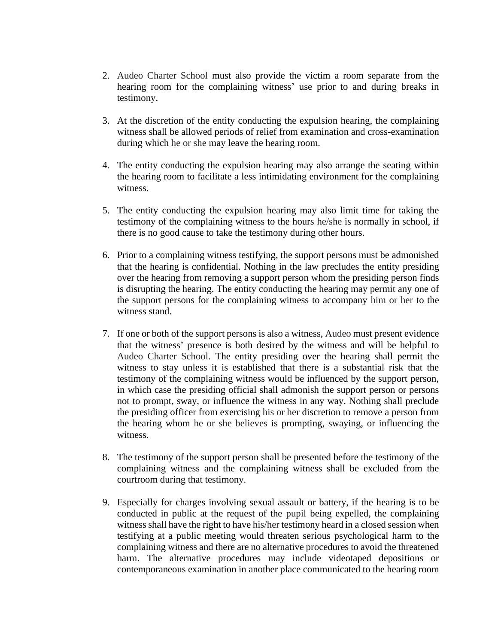- 2. Audeo Charter School must also provide the victim a room separate from the hearing room for the complaining witness' use prior to and during breaks in testimony.
- 3. At the discretion of the entity conducting the expulsion hearing, the complaining witness shall be allowed periods of relief from examination and cross-examination during which he or she may leave the hearing room.
- 4. The entity conducting the expulsion hearing may also arrange the seating within the hearing room to facilitate a less intimidating environment for the complaining witness.
- 5. The entity conducting the expulsion hearing may also limit time for taking the testimony of the complaining witness to the hours he/she is normally in school, if there is no good cause to take the testimony during other hours.
- 6. Prior to a complaining witness testifying, the support persons must be admonished that the hearing is confidential. Nothing in the law precludes the entity presiding over the hearing from removing a support person whom the presiding person finds is disrupting the hearing. The entity conducting the hearing may permit any one of the support persons for the complaining witness to accompany him or her to the witness stand.
- 7. If one or both of the support persons is also a witness, Audeo must present evidence that the witness' presence is both desired by the witness and will be helpful to Audeo Charter School. The entity presiding over the hearing shall permit the witness to stay unless it is established that there is a substantial risk that the testimony of the complaining witness would be influenced by the support person, in which case the presiding official shall admonish the support person or persons not to prompt, sway, or influence the witness in any way. Nothing shall preclude the presiding officer from exercising his or her discretion to remove a person from the hearing whom he or she believes is prompting, swaying, or influencing the witness.
- 8. The testimony of the support person shall be presented before the testimony of the complaining witness and the complaining witness shall be excluded from the courtroom during that testimony.
- 9. Especially for charges involving sexual assault or battery, if the hearing is to be conducted in public at the request of the pupil being expelled, the complaining witness shall have the right to have his/her testimony heard in a closed session when testifying at a public meeting would threaten serious psychological harm to the complaining witness and there are no alternative procedures to avoid the threatened harm. The alternative procedures may include videotaped depositions or contemporaneous examination in another place communicated to the hearing room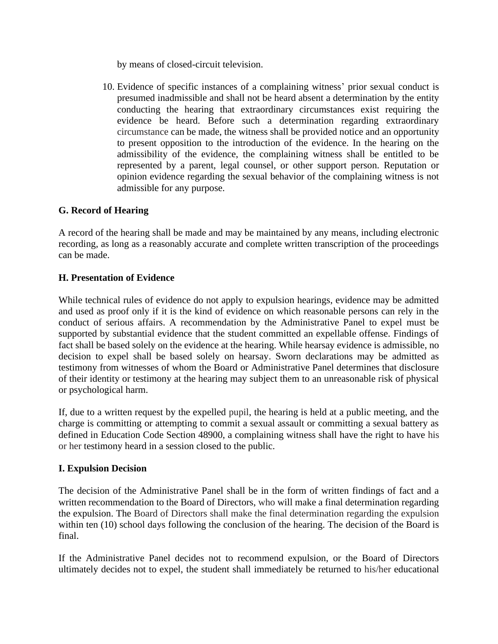by means of closed-circuit television.

10. Evidence of specific instances of a complaining witness' prior sexual conduct is presumed inadmissible and shall not be heard absent a determination by the entity conducting the hearing that extraordinary circumstances exist requiring the evidence be heard. Before such a determination regarding extraordinary circumstance can be made, the witness shall be provided notice and an opportunity to present opposition to the introduction of the evidence. In the hearing on the admissibility of the evidence, the complaining witness shall be entitled to be represented by a parent, legal counsel, or other support person. Reputation or opinion evidence regarding the sexual behavior of the complaining witness is not admissible for any purpose.

## **G. Record of Hearing**

A record of the hearing shall be made and may be maintained by any means, including electronic recording, as long as a reasonably accurate and complete written transcription of the proceedings can be made.

## **H. Presentation of Evidence**

While technical rules of evidence do not apply to expulsion hearings, evidence may be admitted and used as proof only if it is the kind of evidence on which reasonable persons can rely in the conduct of serious affairs. A recommendation by the Administrative Panel to expel must be supported by substantial evidence that the student committed an expellable offense. Findings of fact shall be based solely on the evidence at the hearing. While hearsay evidence is admissible, no decision to expel shall be based solely on hearsay. Sworn declarations may be admitted as testimony from witnesses of whom the Board or Administrative Panel determines that disclosure of their identity or testimony at the hearing may subject them to an unreasonable risk of physical or psychological harm.

If, due to a written request by the expelled pupil, the hearing is held at a public meeting, and the charge is committing or attempting to commit a sexual assault or committing a sexual battery as defined in Education Code Section 48900, a complaining witness shall have the right to have his or her testimony heard in a session closed to the public.

## **I. Expulsion Decision**

The decision of the Administrative Panel shall be in the form of written findings of fact and a written recommendation to the Board of Directors, who will make a final determination regarding the expulsion. The Board of Directors shall make the final determination regarding the expulsion within ten (10) school days following the conclusion of the hearing. The decision of the Board is final.

If the Administrative Panel decides not to recommend expulsion, or the Board of Directors ultimately decides not to expel, the student shall immediately be returned to his/her educational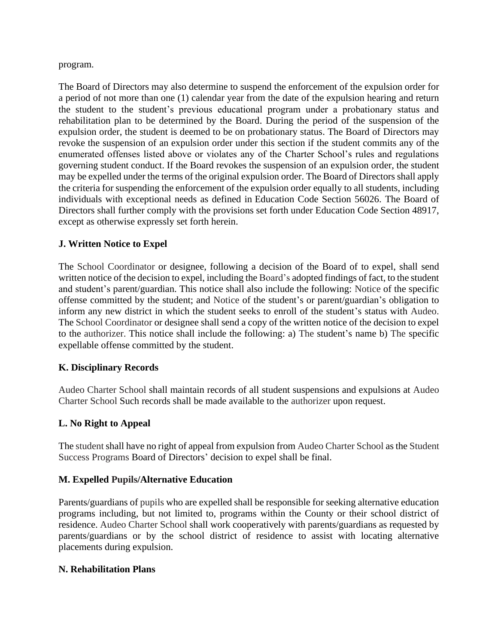program.

The Board of Directors may also determine to suspend the enforcement of the expulsion order for a period of not more than one (1) calendar year from the date of the expulsion hearing and return the student to the student's previous educational program under a probationary status and rehabilitation plan to be determined by the Board. During the period of the suspension of the expulsion order, the student is deemed to be on probationary status. The Board of Directors may revoke the suspension of an expulsion order under this section if the student commits any of the enumerated offenses listed above or violates any of the Charter School's rules and regulations governing student conduct. If the Board revokes the suspension of an expulsion order, the student may be expelled under the terms of the original expulsion order. The Board of Directors shall apply the criteria for suspending the enforcement of the expulsion order equally to all students, including individuals with exceptional needs as defined in Education Code Section 56026. The Board of Directors shall further comply with the provisions set forth under Education Code Section 48917, except as otherwise expressly set forth herein.

## **J. Written Notice to Expel**

The School Coordinator or designee, following a decision of the Board of to expel, shall send written notice of the decision to expel, including the Board's adopted findings of fact, to the student and student's parent/guardian. This notice shall also include the following: Notice of the specific offense committed by the student; and Notice of the student's or parent/guardian's obligation to inform any new district in which the student seeks to enroll of the student's status with Audeo. The School Coordinator or designee shall send a copy of the written notice of the decision to expel to the authorizer. This notice shall include the following: a) The student's name b) The specific expellable offense committed by the student.

## **K. Disciplinary Records**

Audeo Charter School shall maintain records of all student suspensions and expulsions at Audeo Charter School Such records shall be made available to the authorizer upon request.

## **L. No Right to Appeal**

The student shall have no right of appeal from expulsion from Audeo Charter School as the Student Success Programs Board of Directors' decision to expel shall be final.

## **M. Expelled Pupils/Alternative Education**

Parents/guardians of pupils who are expelled shall be responsible for seeking alternative education programs including, but not limited to, programs within the County or their school district of residence. Audeo Charter School shall work cooperatively with parents/guardians as requested by parents/guardians or by the school district of residence to assist with locating alternative placements during expulsion.

### **N. Rehabilitation Plans**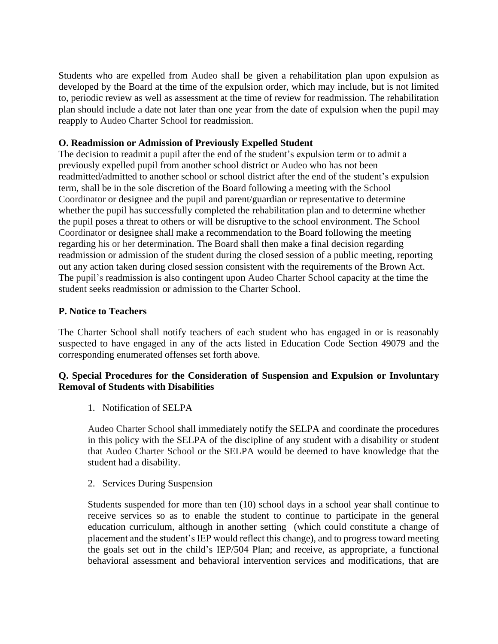Students who are expelled from Audeo shall be given a rehabilitation plan upon expulsion as developed by the Board at the time of the expulsion order, which may include, but is not limited to, periodic review as well as assessment at the time of review for readmission. The rehabilitation plan should include a date not later than one year from the date of expulsion when the pupil may reapply to Audeo Charter School for readmission.

### **O. Readmission or Admission of Previously Expelled Student**

The decision to readmit a pupil after the end of the student's expulsion term or to admit a previously expelled pupil from another school district or Audeo who has not been readmitted/admitted to another school or school district after the end of the student's expulsion term, shall be in the sole discretion of the Board following a meeting with the School Coordinator or designee and the pupil and parent/guardian or representative to determine whether the pupil has successfully completed the rehabilitation plan and to determine whether the pupil poses a threat to others or will be disruptive to the school environment. The School Coordinator or designee shall make a recommendation to the Board following the meeting regarding his or her determination. The Board shall then make a final decision regarding readmission or admission of the student during the closed session of a public meeting, reporting out any action taken during closed session consistent with the requirements of the Brown Act. The pupil's readmission is also contingent upon Audeo Charter School capacity at the time the student seeks readmission or admission to the Charter School.

### **P. Notice to Teachers**

The Charter School shall notify teachers of each student who has engaged in or is reasonably suspected to have engaged in any of the acts listed in Education Code Section 49079 and the corresponding enumerated offenses set forth above.

## **Q. Special Procedures for the Consideration of Suspension and Expulsion or Involuntary Removal of Students with Disabilities**

1. Notification of SELPA

Audeo Charter School shall immediately notify the SELPA and coordinate the procedures in this policy with the SELPA of the discipline of any student with a disability or student that Audeo Charter School or the SELPA would be deemed to have knowledge that the student had a disability.

2. Services During Suspension

Students suspended for more than ten (10) school days in a school year shall continue to receive services so as to enable the student to continue to participate in the general education curriculum, although in another setting (which could constitute a change of placement and the student's IEP would reflect this change), and to progress toward meeting the goals set out in the child's IEP/504 Plan; and receive, as appropriate, a functional behavioral assessment and behavioral intervention services and modifications, that are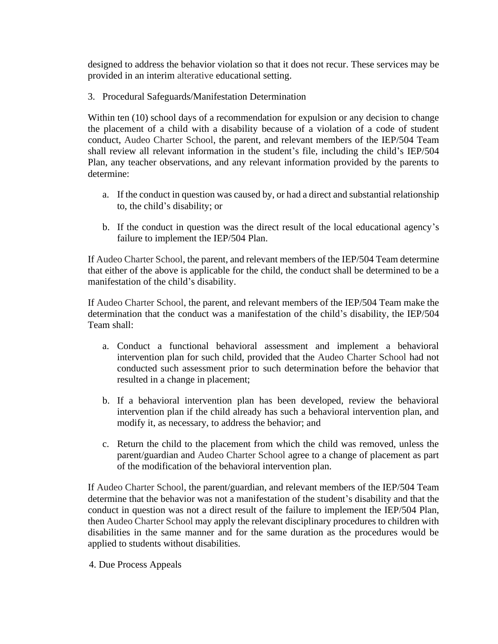designed to address the behavior violation so that it does not recur. These services may be provided in an interim alterative educational setting.

3. Procedural Safeguards/Manifestation Determination

Within ten (10) school days of a recommendation for expulsion or any decision to change the placement of a child with a disability because of a violation of a code of student conduct, Audeo Charter School, the parent, and relevant members of the IEP/504 Team shall review all relevant information in the student's file, including the child's IEP/504 Plan, any teacher observations, and any relevant information provided by the parents to determine:

- a. If the conduct in question was caused by, or had a direct and substantial relationship to, the child's disability; or
- b. If the conduct in question was the direct result of the local educational agency's failure to implement the IEP/504 Plan.

If Audeo Charter School, the parent, and relevant members of the IEP/504 Team determine that either of the above is applicable for the child, the conduct shall be determined to be a manifestation of the child's disability.

If Audeo Charter School, the parent, and relevant members of the IEP/504 Team make the determination that the conduct was a manifestation of the child's disability, the IEP/504 Team shall:

- a. Conduct a functional behavioral assessment and implement a behavioral intervention plan for such child, provided that the Audeo Charter School had not conducted such assessment prior to such determination before the behavior that resulted in a change in placement;
- b. If a behavioral intervention plan has been developed, review the behavioral intervention plan if the child already has such a behavioral intervention plan, and modify it, as necessary, to address the behavior; and
- c. Return the child to the placement from which the child was removed, unless the parent/guardian and Audeo Charter School agree to a change of placement as part of the modification of the behavioral intervention plan.

If Audeo Charter School, the parent/guardian, and relevant members of the IEP/504 Team determine that the behavior was not a manifestation of the student's disability and that the conduct in question was not a direct result of the failure to implement the IEP/504 Plan, then Audeo Charter School may apply the relevant disciplinary procedures to children with disabilities in the same manner and for the same duration as the procedures would be applied to students without disabilities.

4. Due Process Appeals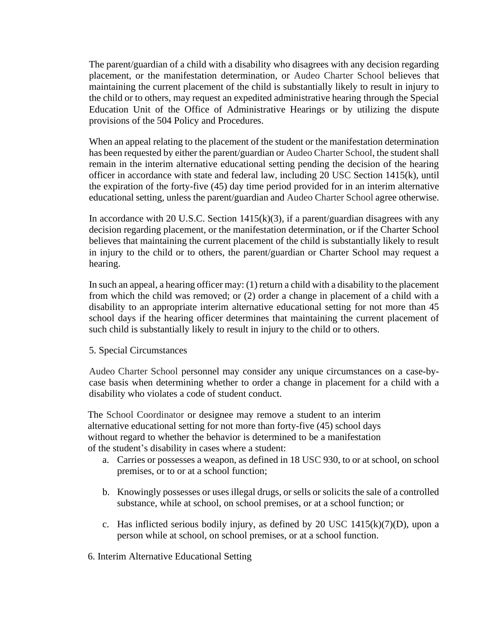The parent/guardian of a child with a disability who disagrees with any decision regarding placement, or the manifestation determination, or Audeo Charter School believes that maintaining the current placement of the child is substantially likely to result in injury to the child or to others, may request an expedited administrative hearing through the Special Education Unit of the Office of Administrative Hearings or by utilizing the dispute provisions of the 504 Policy and Procedures.

When an appeal relating to the placement of the student or the manifestation determination has been requested by either the parent/guardian or Audeo Charter School, the student shall remain in the interim alternative educational setting pending the decision of the hearing officer in accordance with state and federal law, including 20 USC Section 1415(k), until the expiration of the forty-five (45) day time period provided for in an interim alternative educational setting, unless the parent/guardian and Audeo Charter School agree otherwise.

In accordance with 20 U.S.C. Section  $1415(k)(3)$ , if a parent/guardian disagrees with any decision regarding placement, or the manifestation determination, or if the Charter School believes that maintaining the current placement of the child is substantially likely to result in injury to the child or to others, the parent/guardian or Charter School may request a hearing.

In such an appeal, a hearing officer may: (1) return a child with a disability to the placement from which the child was removed; or (2) order a change in placement of a child with a disability to an appropriate interim alternative educational setting for not more than 45 school days if the hearing officer determines that maintaining the current placement of such child is substantially likely to result in injury to the child or to others.

### 5. Special Circumstances

Audeo Charter School personnel may consider any unique circumstances on a case-bycase basis when determining whether to order a change in placement for a child with a disability who violates a code of student conduct.

The School Coordinator or designee may remove a student to an interim alternative educational setting for not more than forty-five (45) school days without regard to whether the behavior is determined to be a manifestation of the student's disability in cases where a student:

- a. Carries or possesses a weapon, as defined in 18 USC 930, to or at school, on school premises, or to or at a school function;
- b. Knowingly possesses or uses illegal drugs, or sells or solicits the sale of a controlled substance, while at school, on school premises, or at a school function; or
- c. Has inflicted serious bodily injury, as defined by 20 USC  $1415(k)(7)(D)$ , upon a person while at school, on school premises, or at a school function.
- 6. Interim Alternative Educational Setting